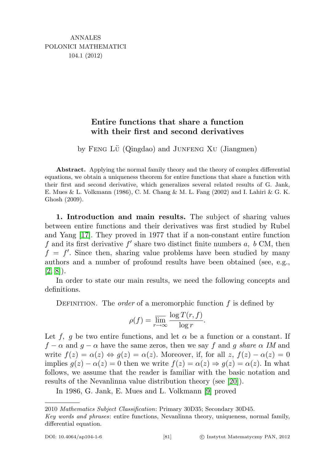## Entire functions that share a function with their first and second derivatives

by Feng Lü (Qingdao) and JUNFENG XU (Jiangmen)

Abstract. Applying the normal family theory and the theory of complex differential equations, we obtain a uniqueness theorem for entire functions that share a function with their first and second derivative, which generalizes several related results of G. Jank, E. Mues & L. Volkmann (1986), C. M. Chang & M. L. Fang (2002) and I. Lahiri & G. K. Ghosh (2009).

1. Introduction and main results. The subject of sharing values between entire functions and their derivatives was first studied by Rubel and Yang [\[17\]](#page-15-0). They proved in 1977 that if a non-constant entire function f and its first derivative  $f'$  share two distinct finite numbers  $a, b$  CM, then  $f = f'$ . Since then, sharing value problems have been studied by many authors and a number of profound results have been obtained (see, e.g.,  $[2, 8]$  $[2, 8]$ .

In order to state our main results, we need the following concepts and definitions.

DEFINITION. The *order* of a meromorphic function  $f$  is defined by

$$
\rho(f) = \overline{\lim_{r \to \infty}} \frac{\log T(r, f)}{\log r}.
$$

Let f, g be two entire functions, and let  $\alpha$  be a function or a constant. If  $f - \alpha$  and  $g - \alpha$  have the same zeros, then we say f and g share  $\alpha$  IM and write  $f(z) = \alpha(z) \Leftrightarrow g(z) = \alpha(z)$ . Moreover, if, for all z,  $f(z) - \alpha(z) = 0$ implies  $g(z) - \alpha(z) = 0$  then we write  $f(z) = \alpha(z) \Rightarrow g(z) = \alpha(z)$ . In what follows, we assume that the reader is familiar with the basic notation and results of the Nevanlinna value distribution theory (see [\[20\]](#page-15-1)).

In 1986, G. Jank, E. Mues and L. Volkmann [\[9\]](#page-14-2) proved

<sup>2010</sup> Mathematics Subject Classification: Primary 30D35; Secondary 30D45.

Key words and phrases: entire functions, Nevanlinna theory, uniqueness, normal family, differential equation.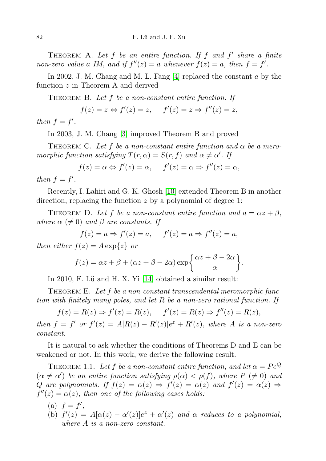THEOREM A. Let  $f$  be an entire function. If  $f$  and  $f'$  share a finite non-zero value a IM, and if  $f''(z) = a$  whenever  $f(z) = a$ , then  $f = f'$ .

In 2002, J. M. Chang and M. L. Fang [\[4\]](#page-14-3) replaced the constant a by the function z in Theorem A and derived

THEOREM B. Let  $f$  be a non-constant entire function. If

$$
f(z) = z \Leftrightarrow f'(z) = z, \quad f'(z) = z \Rightarrow f''(z) = z,
$$

then  $f = f'$ .

In 2003, J. M. Chang [\[3\]](#page-14-4) improved Theorem B and proved

THEOREM C. Let f be a non-constant entire function and  $\alpha$  be a meromorphic function satisfying  $T(r, \alpha) = S(r, f)$  and  $\alpha \neq \alpha'$ . If

$$
f(z) = \alpha \Leftrightarrow f'(z) = \alpha, \quad f'(z) = \alpha \Rightarrow f''(z) = \alpha,
$$

then  $f = f'$ .

Recently, I. Lahiri and G. K. Ghosh [\[10\]](#page-14-5) extended Theorem B in another direction, replacing the function z by a polynomial of degree 1:

THEOREM D. Let f be a non-constant entire function and  $a = \alpha z + \beta$ , where  $\alpha \neq 0$ ) and  $\beta$  are constants. If

$$
f(z) = a \Rightarrow f'(z) = a, \quad f'(z) = a \Rightarrow f''(z) = a,
$$

then either  $f(z) = A \exp\{z\}$  or

$$
f(z) = \alpha z + \beta + (\alpha z + \beta - 2\alpha) \exp\left\{\frac{\alpha z + \beta - 2\alpha}{\alpha}\right\}.
$$

In 2010, F. Lü and H. X. Yi [\[14\]](#page-14-6) obtained a similar result:

THEOREM E. Let f be a non-constant transcendental meromorphic function with finitely many poles, and let R be a non-zero rational function. If

 $f(z) = R(z) \Rightarrow f'(z) = R(z), \quad f'(z) = R(z) \Rightarrow f''(z) = R(z),$ then  $f = f'$  or  $f'(z) = A[R(z) - R'(z)]e^{z} + R'(z)$ , where A is a non-zero constant.

It is natural to ask whether the conditions of Theorems D and E can be weakened or not. In this work, we derive the following result.

<span id="page-1-0"></span>THEOREM 1.1. Let f be a non-constant entire function, and let  $\alpha = Pe^Q$  $(\alpha \neq \alpha')$  be an entire function satisfying  $\rho(\alpha) < \rho(f)$ , where  $P \ (\neq 0)$  and Q are polynomials. If  $f(z) = \alpha(z) \Rightarrow f'(z) = \alpha(z)$  and  $f'(z) = \alpha(z) \Rightarrow f'(z) = \alpha(z)$  $f''(z) = \alpha(z)$ , then one of the following cases holds:

- (a)  $f = f'$ ;
- (b)  $f'(z) = A[\alpha(z) \alpha'(z)]e^{z} + \alpha'(z)$  and  $\alpha$  reduces to a polynomial, where A is a non-zero constant.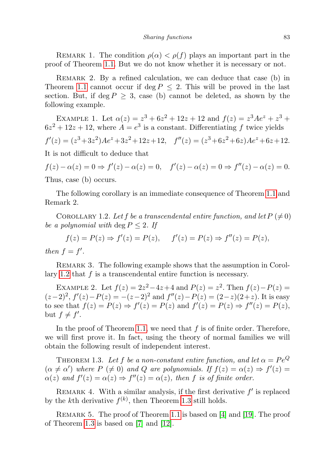REMARK 1. The condition  $\rho(\alpha) < \rho(f)$  plays an important part in the proof of Theorem [1.1.](#page-1-0) But we do not know whether it is necessary or not.

REMARK 2. By a refined calculation, we can deduce that case (b) in Theorem [1.1](#page-1-0) cannot occur if deg  $P \leq 2$ . This will be proved in the last section. But, if deg  $P \geq 3$ , case (b) cannot be deleted, as shown by the following example.

EXAMPLE 1. Let  $\alpha(z) = z^3 + 6z^2 + 12z + 12$  and  $f(z) = z^3 A e^z + z^3 + z^4$  $6z^2 + 12z + 12$ , where  $A = e^3$  is a constant. Differentiating f twice yields  $f'(z) = (z^3 + 3z^2)Ae^z + 3z^2 + 12z + 12$ ,  $f''(z) = (z^3 + 6z^2 + 6z)Ae^z + 6z + 12$ . It is not difficult to deduce that  $f(z) - \alpha(z) = 0 \Rightarrow f'(z) - \alpha(z) = 0, \quad f'(z) - \alpha(z) = 0 \Rightarrow f''(z) - \alpha(z) = 0.$ 

Thus, case (b) occurs.

The following corollary is an immediate consequence of Theorem [1.1](#page-1-0) and Remark 2.

<span id="page-2-0"></span>COROLLARY 1.2. Let f be a transcendental entire function, and let  $P(\neq 0)$ be a polynomial with deg  $P \leq 2$ . If

 $f(z) = P(z) \Rightarrow f'(z) = P(z), \quad f'(z) = P(z) \Rightarrow f''(z) = P(z),$ then  $f = f'$ .

REMARK 3. The following example shows that the assumption in Corol-lary [1.2](#page-2-0) that  $f$  is a transcendental entire function is necessary.

EXAMPLE 2. Let  $f(z) = 2z^2 - 4z + 4$  and  $P(z) = z^2$ . Then  $f(z) - P(z) =$  $(z-2)^2$ ,  $f'(z)-P(z) = -(z-2)^2$  and  $f''(z)-P(z) = (2-z)(2+z)$ . It is easy to see that  $f(z) = P(z) \Rightarrow f'(z) = P(z)$  and  $f'(z) = P(z) \Rightarrow f''(z) = P(z)$ , but  $f \neq f'$ .

In the proof of Theorem [1.1,](#page-1-0) we need that  $f$  is of finite order. Therefore, we will first prove it. In fact, using the theory of normal families we will obtain the following result of independent interest.

<span id="page-2-1"></span>THEOREM 1.3. Let f be a non-constant entire function, and let  $\alpha = Pe^Q$  $(\alpha \neq \alpha')$  where  $P \neq 0$  and  $Q$  are polynomials. If  $f(z) = \alpha(z) \Rightarrow f'(z) =$  $\alpha(z)$  and  $f'(z) = \alpha(z) \Rightarrow f''(z) = \alpha(z)$ , then f is of finite order.

REMARK 4. With a similar analysis, if the first derivative  $f'$  is replaced by the k<sup>th</sup> derivative  $f^{(k)}$ , then Theorem [1.3](#page-2-1) still holds.

REMARK 5. The proof of Theorem [1.1](#page-1-0) is based on [\[4\]](#page-14-3) and [\[19\]](#page-15-2). The proof of Theorem [1.3](#page-2-1) is based on [\[7\]](#page-14-7) and [\[12\]](#page-14-8).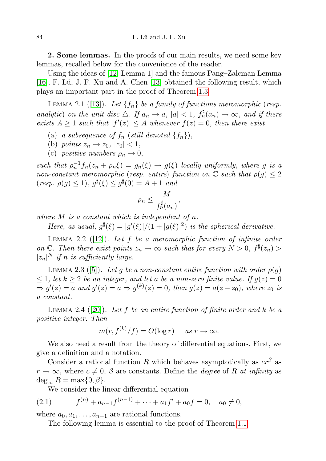2. Some lemmas. In the proofs of our main results, we need some key lemmas, recalled below for the convenience of the reader.

Using the ideas of [\[12,](#page-14-8) Lemma 1] and the famous Pang–Zalcman Lemma [\[16\]](#page-14-9), F. Lü, J. F. Xu and A. Chen [\[13\]](#page-14-10) obtained the following result, which plays an important part in the proof of Theorem [1.3.](#page-2-1)

<span id="page-3-2"></span>LEMMA 2.1 ([\[13\]](#page-14-10)). Let  $\{f_n\}$  be a family of functions meromorphic (resp. analytic) on the unit disc  $\Delta$ . If  $a_n \to a$ ,  $|a| < 1$ ,  $f_n^{\sharp}(a_n) \to \infty$ , and if there exists  $A \geq 1$  such that  $|f'(z)| \leq A$  whenever  $f(z) = 0$ , then there exist

- (a) a subsequence of  $f_n$  (still denoted  $\{f_n\}$ ),
- (b) points  $z_n \rightarrow z_0$ ,  $|z_0| < 1$ ,
- (c) positive numbers  $\rho_n \to 0$ .

such that  $\rho_n^{-1} f_n(z_n + \rho_n \xi) = g_n(\xi) \rightarrow g(\xi)$  locally uniformly, where g is a non-constant meromorphic (resp. entire) function on  $\mathbb C$  such that  $\rho(g) \leq 2$  $(resp. \ \rho(g) \leq 1), \ g^{\sharp}(\xi) \leq g^{\sharp}(0) = A + 1 \ \text{and}$ 

$$
\rho_n \leq \frac{M}{f_n^\sharp(a_n)},
$$

where  $M$  is a constant which is independent of  $n$ .

Here, as usual,  $g^{\sharp}(\xi) = |g'(\xi)|/(1+|g(\xi)|^2)$  is the spherical derivative.

<span id="page-3-1"></span>LEMMA 2.2 ([\[12\]](#page-14-8)). Let  $f$  be a meromorphic function of infinite order on  $\mathbb{C}$ . Then there exist points  $z_n \to \infty$  such that for every  $N > 0$ ,  $f^{\sharp}(z_n) > 0$  $|z_n|^N$  if n is sufficiently large.

<span id="page-3-3"></span>LEMMA 2.3 ([\[5\]](#page-14-11)). Let g be a non-constant entire function with order  $\rho(q)$  $\leq 1$ , let  $k \geq 2$  be an integer, and let a be a non-zero finite value. If  $g(z) = 0$  $\Rightarrow$  g'(z) = a and g'(z) = a  $\Rightarrow$  g<sup>(k)</sup>(z) = 0, then g(z) = a(z - z<sub>0</sub>), where z<sub>0</sub> is a constant.

<span id="page-3-4"></span>LEMMA 2.4 ([\[20\]](#page-15-1)). Let f be an entire function of finite order and k be a positive integer. Then

$$
m(r, f^{(k)}/f) = O(\log r) \quad \text{as } r \to \infty.
$$

We also need a result from the theory of differential equations. First, we give a definition and a notation.

Consider a rational function R which behaves asymptotically as  $cr^{\beta}$  as  $r \to \infty$ , where  $c \neq 0$ ,  $\beta$  are constants. Define the *degree* of R at infinity as  $\deg_{\infty} R = \max\{0, \beta\}.$ 

<span id="page-3-0"></span>We consider the linear differential equation

(2.1) 
$$
f^{(n)} + a_{n-1}f^{(n-1)} + \cdots + a_1f' + a_0f = 0, \quad a_0 \neq 0,
$$

where  $a_0, a_1, \ldots, a_{n-1}$  are rational functions.

<span id="page-3-5"></span>The following lemma is essential to the proof of Theorem [1.1.](#page-1-0)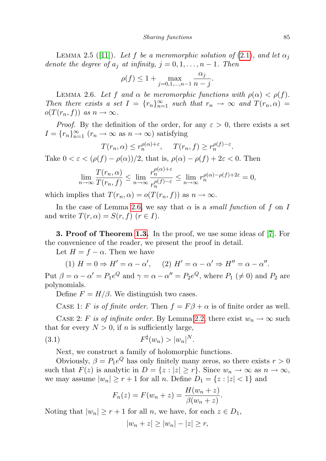LEMMA 2.5 ([\[11\]](#page-14-12)). Let f be a meromorphic solution of [\(2.1\)](#page-3-0), and let  $\alpha_i$ denote the degree of  $a_i$  at infinity,  $j = 0, 1, \ldots, n - 1$ . Then

$$
\rho(f) \le 1 + \max_{j=0,1,...,n-1} \frac{\alpha_j}{n-j}.
$$

<span id="page-4-0"></span>LEMMA 2.6. Let f and  $\alpha$  be meromorphic functions with  $\rho(\alpha) < \rho(f)$ . Then there exists a set  $I = \{r_n\}_{n=1}^{\infty}$  such that  $r_n \to \infty$  and  $T(r_n, \alpha) =$  $o(T(r_n, f))$  as  $n \to \infty$ .

*Proof.* By the definition of the order, for any  $\varepsilon > 0$ , there exists a set  $I = \{r_n\}_{n=1}^{\infty}$   $(r_n \to \infty \text{ as } n \to \infty)$  satisfying

$$
T(r_n, \alpha) \leq r_n^{\rho(\alpha)+\varepsilon}, \quad T(r_n, f) \geq r_n^{\rho(f)-\varepsilon}.
$$

Take  $0 < \varepsilon < (\rho(f) - \rho(\alpha))/2$ , that is,  $\rho(\alpha) - \rho(f) + 2\varepsilon < 0$ . Then

$$
\lim_{n \to \infty} \frac{T(r_n, \alpha)}{T(r_n, f)} \le \lim_{n \to \infty} \frac{r_n^{\rho(\alpha) + \varepsilon}}{r_n^{\rho(f) - \varepsilon}} \le \lim_{n \to \infty} r_n^{\rho(\alpha) - \rho(f) + 2\varepsilon} = 0,
$$

which implies that  $T(r_n, \alpha) = o(T(r_n, f))$  as  $n \to \infty$ .

In the case of Lemma [2.6,](#page-4-0) we say that  $\alpha$  is a small function of f on I and write  $T(r, \alpha) = S(r, f)$   $(r \in I)$ .

3. Proof of Theorem [1.3.](#page-2-1) In the proof, we use some ideas of [\[7\]](#page-14-7). For the convenience of the reader, we present the proof in detail.

Let  $H = f - \alpha$ . Then we have

(1)  $H = 0 \Rightarrow H' = \alpha - \alpha'$ , (2)  $H' = \alpha - \alpha' \Rightarrow H'' = \alpha - \alpha''$ .

Put  $\beta = \alpha - \alpha' = P_1 e^Q$  and  $\gamma = \alpha - \alpha'' = P_2 e^Q$ , where  $P_1 \neq 0$  and  $P_2$  are polynomials.

Define  $F = H/\beta$ . We distinguish two cases.

CASE 1: F is of finite order. Then  $f = F\beta + \alpha$  is of finite order as well. CASE 2: F is of infinite order. By Lemma [2.2,](#page-3-1) there exist  $w_n \to \infty$  such that for every  $N > 0$ , if n is sufficiently large,

$$
(3.1) \t\t\t F^{\sharp}(w_n) > |w_n|^N.
$$

Next, we construct a family of holomorphic functions.

Obviously,  $\beta = P_1 e^Q$  has only finitely many zeros, so there exists  $r > 0$ such that  $F(z)$  is analytic in  $D = \{z : |z| \ge r\}$ . Since  $w_n \to \infty$  as  $n \to \infty$ , we may assume  $|w_n| \ge r+1$  for all n. Define  $D_1 = \{z : |z| < 1\}$  and

<span id="page-4-1"></span>
$$
F_n(z) = F(w_n + z) = \frac{H(w_n + z)}{\beta(w_n + z)}.
$$

Noting that  $|w_n| \geq r+1$  for all n, we have, for each  $z \in D_1$ ,

$$
|w_n + z| \ge |w_n| - |z| \ge r,
$$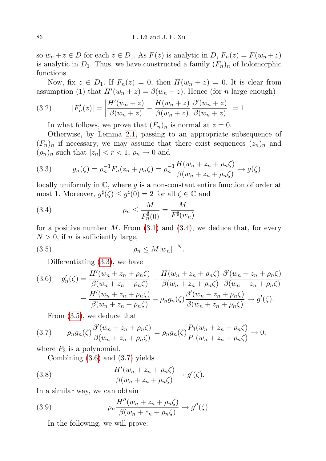so  $w_n + z \in D$  for each  $z \in D_1$ . As  $F(z)$  is analytic in  $D, F_n(z) = F(w_n + z)$ is analytic in  $D_1$ . Thus, we have constructed a family  $(F_n)_n$  of holomorphic functions.

Now, fix  $z \in D_1$ . If  $F_n(z) = 0$ , then  $H(w_n + z) = 0$ . It is clear from assumption (1) that  $H'(w_n + z) = \beta(w_n + z)$ . Hence (for *n* large enough)

(3.2) 
$$
|F'_n(z)| = \left| \frac{H'(w_n + z)}{\beta(w_n + z)} - \frac{H(w_n + z)}{\beta(w_n + z)} \frac{\beta'(w_n + z)}{\beta(w_n + z)} \right| = 1.
$$

In what follows, we prove that  $(F_n)_n$  is normal at  $z = 0$ .

Otherwise, by Lemma [2.1,](#page-3-2) passing to an appropriate subsequence of  $(F_n)_n$  if necessary, we may assume that there exist sequences  $(z_n)_n$  and  $(\rho_n)_n$  such that  $|z_n| < r < 1$ ,  $\rho_n \to 0$  and

<span id="page-5-1"></span>(3.3) 
$$
g_n(\zeta) = \rho_n^{-1} F_n(z_n + \rho_n \zeta) = \rho_n^{-1} \frac{H(w_n + z_n + \rho_n \zeta)}{\beta(w_n + z_n + \rho_n \zeta)} \to g(\zeta)
$$

locally uniformly in  $\mathbb{C}$ , where g is a non-constant entire function of order at most 1. Moreover,  $g^{\sharp}(\zeta) \leq g^{\sharp}(0) = 2$  for all  $\zeta \in \mathbb{C}$  and

<span id="page-5-0"></span>(3.4) 
$$
\rho_n \le \frac{M}{F_n^{\sharp}(0)} = \frac{M}{F^{\sharp}(w_n)}
$$

for a positive number  $M$ . From [\(3.1\)](#page-4-1) and [\(3.4\)](#page-5-0), we deduce that, for every  $N > 0$ , if n is sufficiently large,

$$
(3.5) \t\t \rho_n \le M|w_n|^{-N}.
$$

<span id="page-5-2"></span>Differentiating [\(3.3\)](#page-5-1), we have

<span id="page-5-3"></span>
$$
(3.6) \quad g'_n(\zeta) = \frac{H'(w_n + z_n + \rho_n \zeta)}{\beta(w_n + z_n + \rho_n \zeta)} - \frac{H(w_n + z_n + \rho_n \zeta)}{\beta(w_n + z_n + \rho_n \zeta)} \frac{\beta'(w_n + z_n + \rho_n \zeta)}{\beta(w_n + z_n + \rho_n \zeta)}
$$

$$
= \frac{H'(w_n + z_n + \rho_n \zeta)}{\beta(w_n + z_n + \rho_n \zeta)} - \rho_n g_n(\zeta) \frac{\beta'(w_n + z_n + \rho_n \zeta)}{\beta(w_n + z_n + \rho_n \zeta)} \to g'(\zeta).
$$

<span id="page-5-4"></span>From [\(3.5\)](#page-5-2), we deduce that

$$
(3.7) \qquad \rho_n g_n(\zeta) \frac{\beta'(w_n + z_n + \rho_n \zeta)}{\beta(w_n + z_n + \rho_n \zeta)} = \rho_n g_n(\zeta) \frac{P_3(w_n + z_n + \rho_n \zeta)}{P_1(w_n + z_n + \rho_n \zeta)} \to 0,
$$

where  $P_3$  is a polynomial.

<span id="page-5-5"></span>Combining [\(3.6\)](#page-5-3) and [\(3.7\)](#page-5-4) yields

(3.8) 
$$
\frac{H'(w_n + z_n + \rho_n \zeta)}{\beta(w_n + z_n + \rho_n \zeta)} \to g'(\zeta).
$$

In a similar way, we can obtain

(3.9) 
$$
\rho_n \frac{H''(w_n + z_n + \rho_n \zeta)}{\beta(w_n + z_n + \rho_n \zeta)} \to g''(\zeta).
$$

In the following, we will prove: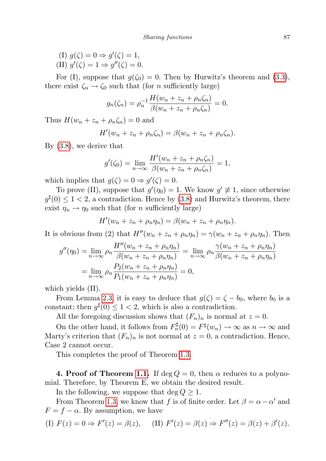(I)  $g(\zeta) = 0 \Rightarrow g'(\zeta) = 1$ , (II)  $g'(\zeta) = 1 \Rightarrow g''(\zeta) = 0.$ 

For (I), suppose that  $g(\zeta_0) = 0$ . Then by Hurwitz's theorem and [\(3.3\)](#page-5-1), there exist  $\zeta_n \to \zeta_0$  such that (for *n* sufficiently large)

$$
g_n(\zeta_n) = \rho_n^{-1} \frac{H(w_n + z_n + \rho_n \zeta_n)}{\beta(w_n + z_n + \rho_n \zeta_n)} = 0.
$$

Thus  $H(w_n + z_n + \rho_n \zeta_n) = 0$  and

$$
H'(w_n + z_n + \rho_n \zeta_n) = \beta(w_n + z_n + \rho_n \zeta_n).
$$

By [\(3.8\)](#page-5-5), we derive that

$$
g'(\zeta_0) = \lim_{n \to \infty} \frac{H'(w_n + z_n + \rho_n \zeta_n)}{\beta(w_n + z_n + \rho_n \zeta_n)} = 1,
$$

which implies that  $g(\zeta) = 0 \Rightarrow g'(\zeta) = 0$ .

To prove (II), suppose that  $g'(\eta_0) = 1$ . We know  $g' \neq 1$ , since otherwise  $g^{\sharp}(0) \leq 1 < 2$ , a contradiction. Hence by [\(3.8\)](#page-5-5) and Hurwitz's theorem, there exist  $\eta_n \to \eta_0$  such that (for *n* sufficiently large)

$$
H'(w_n + z_n + \rho_n \eta_n) = \beta(w_n + z_n + \rho_n \eta_n).
$$

It is obvious from (2) that  $H''(w_n + z_n + \rho_n \eta_n) = \gamma(w_n + z_n + \rho_n \eta_n)$ . Then

$$
g''(\eta_0) = \lim_{n \to \infty} \rho_n \frac{H''(w_n + z_n + \rho_n \eta_n)}{\beta(w_n + z_n + \rho_n \eta_n)} = \lim_{n \to \infty} \rho_n \frac{\gamma(w_n + z_n + \rho_n \eta_n)}{\beta(w_n + z_n + \rho_n \eta_n)}
$$
  
= 
$$
\lim_{n \to \infty} \rho_n \frac{P_2(w_n + z_n + \rho_n \eta_n)}{P_1(w_n + z_n + \rho_n \eta_n)} = 0,
$$

which yields (II).

From Lemma [2.3,](#page-3-3) it is easy to deduce that  $g(\zeta) = \zeta - b_0$ , where  $b_0$  is a constant; then  $g^{\sharp}(0) \leq 1 < 2$ , which is also a contradiction.

All the foregoing discussion shows that  $(F_n)_n$  is normal at  $z = 0$ .

On the other hand, it follows from  $F_n^{\sharp}(0) = F^{\sharp}(w_n) \to \infty$  as  $n \to \infty$  and Marty's criterion that  $(F_n)_n$  is not normal at  $z = 0$ , a contradiction. Hence, Case 2 cannot occur.

This completes the proof of Theorem [1.3.](#page-2-1)

4. Proof of Theorem [1.1.](#page-1-0) If  $\deg Q = 0$ , then  $\alpha$  reduces to a polynomial. Therefore, by Theorem E, we obtain the desired result.

In the following, we suppose that  $\deg Q \geq 1$ .

From Theorem [1.3,](#page-2-1) we know that f is of finite order. Let  $\beta = \alpha - \alpha'$  and  $F = f - \alpha$ . By assumption, we have

(I) 
$$
F(z) = 0 \Rightarrow F'(z) = \beta(z)
$$
, (II)  $F'(z) = \beta(z) \Rightarrow F''(z) = \beta(z) + \beta'(z)$ .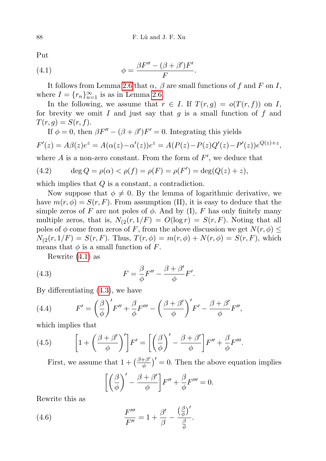Put

<span id="page-7-0"></span>(4.1) 
$$
\phi = \frac{\beta F'' - (\beta + \beta')F'}{F}.
$$

It follows from Lemma [2.6](#page-4-0) that  $\alpha$ ,  $\beta$  are small functions of f and F on I, where  $I = \{r_n\}_{n=1}^{\infty}$  is as in Lemma [2.6.](#page-4-0)

In the following, we assume that  $r \in I$ . If  $T(r, g) = o(T(r, f))$  on I, for brevity we omit I and just say that  $g$  is a small function of  $f$  and  $T(r, g) = S(r, f).$ 

If  $\phi = 0$ , then  $\beta F'' - (\beta + \beta')F' = 0$ . Integrating this yields

$$
F'(z) = A\beta(z)e^{z} = A(\alpha(z) - \alpha'(z))e^{z} = A(P(z) - P(z)Q'(z) - P'(z))e^{Q(z) + z},
$$

where  $A$  is a non-zero constant. From the form of  $F'$ , we deduce that

(4.2) 
$$
\deg Q = \rho(\alpha) < \rho(f) = \rho(F) = \rho(F') = \deg(Q(z) + z),
$$

which implies that  $Q$  is a constant, a contradiction.

Now suppose that  $\phi \neq 0$ . By the lemma of logarithmic derivative, we have  $m(r, \phi) = S(r, F)$ . From assumption (II), it is easy to deduce that the simple zeros of F are not poles of  $\phi$ . And by (I), F has only finitely many multiple zeros, that is,  $N_{(2}(r, 1/F) = O(\log r) = S(r, F)$ . Noting that all poles of  $\phi$  come from zeros of F, from the above discussion we get  $N(r, \phi) \leq$  $N_{(2}(r, 1/F) = S(r, F)$ . Thus,  $T(r, \phi) = m(r, \phi) + N(r, \phi) = S(r, F)$ , which means that  $\phi$  is a small function of F.

<span id="page-7-1"></span>Rewrite [\(4.1\)](#page-7-0) as

(4.3) 
$$
F = \frac{\beta}{\phi} F'' - \frac{\beta + \beta'}{\phi} F'.
$$

By differentiating [\(4.3\)](#page-7-1), we have

(4.4) 
$$
F' = \left(\frac{\beta}{\phi}\right)' F'' + \frac{\beta}{\phi} F''' - \left(\frac{\beta + \beta'}{\phi}\right)' F' - \frac{\beta + \beta'}{\phi} F'',
$$

which implies that

(4.5) 
$$
\left[1+\left(\frac{\beta+\beta'}{\phi}\right)'\right]F'=\left[\left(\frac{\beta}{\phi}\right)'-\frac{\beta+\beta'}{\phi}\right]F''+\frac{\beta}{\phi}F'''
$$

<span id="page-7-2"></span>First, we assume that  $1 + \left(\frac{\beta + \beta'}{\phi}\right)$  $(\frac{+\beta'}{\phi})' = 0$ . Then the above equation implies

.

$$
\left[ \left( \frac{\beta}{\phi} \right)' - \frac{\beta + \beta'}{\phi} \right] F'' + \frac{\beta}{\phi} F''' = 0.
$$

Rewrite this as

(4.6) 
$$
\frac{F^{\prime\prime\prime}}{F^{\prime\prime}} = 1 + \frac{\beta^{\prime}}{\beta} - \frac{\left(\frac{\beta}{\phi}\right)^{\prime}}{\frac{\beta}{\phi}}.
$$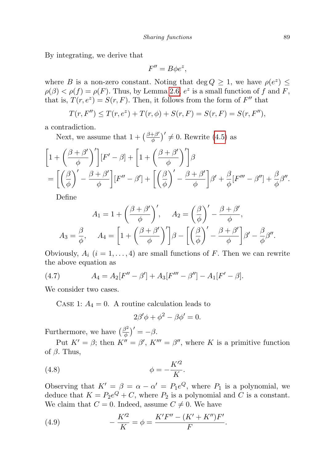By integrating, we derive that

$$
F'' = B\phi e^z,
$$

where B is a non-zero constant. Noting that deg  $Q \geq 1$ , we have  $\rho(e^z) \leq$  $\rho(\beta) < \rho(f) = \rho(F)$ . Thus, by Lemma [2.6,](#page-4-0)  $e^z$  is a small function of f and F, that is,  $T(r, e^z) = S(r, F)$ . Then, it follows from the form of  $F''$  that

$$
T(r, F'') \le T(r, e^z) + T(r, \phi) + S(r, F) = S(r, F) = S(r, F''),
$$

a contradiction.

Next, we assume that  $1 + \left(\frac{\beta + \beta'}{\phi}\right)$  $\left(\frac{+\beta'}{\phi}\right)' \neq 0$ . Rewrite [\(4.5\)](#page-7-2) as

$$
\begin{split} &\bigg[1+\bigg(\frac{\beta+\beta'}{\phi}\bigg)'\bigg][F'-\beta]+\bigg[1+\bigg(\frac{\beta+\beta'}{\phi}\bigg)'\bigg]\beta\\ &=\bigg[\bigg(\frac{\beta}{\phi}\bigg)'-\frac{\beta+\beta'}{\phi}\bigg][F''-\beta']+\bigg[\bigg(\frac{\beta}{\phi}\bigg)'-\frac{\beta+\beta'}{\phi}\bigg]\beta'+\frac{\beta}{\phi}[F'''-\beta'']+\frac{\beta}{\phi}\beta''. \end{split}
$$

Define

$$
A_1 = 1 + \left(\frac{\beta + \beta'}{\phi}\right)', \quad A_2 = \left(\frac{\beta}{\phi}\right)' - \frac{\beta + \beta'}{\phi},
$$

$$
A_3 = \frac{\beta}{\phi}, \quad A_4 = \left[1 + \left(\frac{\beta + \beta'}{\phi}\right)'\right]\beta - \left[\left(\frac{\beta}{\phi}\right)' - \frac{\beta + \beta'}{\phi}\right]\beta' - \frac{\beta}{\phi}\beta''.
$$

Obviously,  $A_i$   $(i = 1, ..., 4)$  are small functions of F. Then we can rewrite the above equation as

(4.7) 
$$
A_4 = A_2[F'' - \beta'] + A_3[F''' - \beta''] - A_1[F' - \beta].
$$

We consider two cases.

CASE 1:  $A_4 = 0$ . A routine calculation leads to

$$
2\beta'\phi + \phi^2 - \beta\phi' = 0.
$$

Furthermore, we have  $\left(\frac{\beta^2}{\phi}\right)$  $\frac{\beta^2}{\phi}$ )' = - $\beta$ .

Put  $K' = \beta$ ; then  $K'' = \beta'$ ,  $K''' = \beta''$ , where K is a primitive function of  $\beta$ . Thus,

$$
\phi = -\frac{K^{\prime 2}}{K}.
$$

Observing that  $K' = \beta = \alpha - \alpha' = P_1e^Q$ , where  $P_1$  is a polynomial, we deduce that  $K = P_2e^{Q} + C$ , where  $P_2$  is a polynomial and C is a constant. We claim that  $C = 0$ . Indeed, assume  $C \neq 0$ . We have

<span id="page-8-0"></span>(4.9) 
$$
- \frac{K^{\prime 2}}{K} = \phi = \frac{K^{\prime} F^{\prime \prime} - (K^{\prime} + K^{\prime \prime}) F^{\prime}}{F}.
$$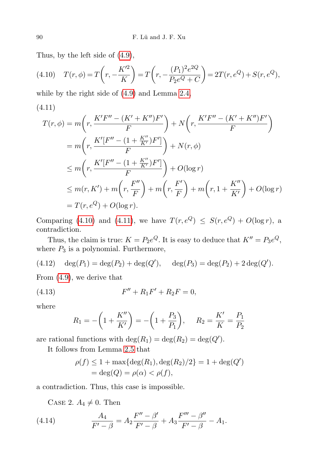Thus, by the left side of [\(4.9\)](#page-8-0),

<span id="page-9-0"></span>(4.10) 
$$
T(r,\phi) = T\left(r, -\frac{K'^2}{K}\right) = T\left(r, -\frac{(P_1)^2 e^{2Q}}{P_2 e^Q + C}\right) = 2T(r, e^Q) + S(r, e^Q),
$$

while by the right side of [\(4.9\)](#page-8-0) and Lemma [2.4,](#page-3-4)

<span id="page-9-1"></span>(4.11)

$$
T(r, \phi) = m \left( r, \frac{K'F'' - (K' + K'')F'}{F} \right) + N \left( r, \frac{K'F'' - (K' + K'')F'}{F} \right)
$$
  
=  $m \left( r, \frac{K'[F'' - (1 + \frac{K''}{K'})F']}{F} \right) + N(r, \phi)$   

$$
\leq m \left( r, \frac{K'[F'' - (1 + \frac{K''}{K'})F']}{F} \right) + O(\log r)
$$
  

$$
\leq m(r, K') + m \left( r, \frac{F''}{F} \right) + m \left( r, \frac{F'}{F} \right) + m \left( r, 1 + \frac{K''}{K'} \right) + O(\log r)
$$
  
=  $T(r, e^{Q}) + O(\log r).$ 

Comparing [\(4.10\)](#page-9-0) and [\(4.11\)](#page-9-1), we have  $T(r, e^Q) \leq S(r, e^Q) + O(\log r)$ , a contradiction.

Thus, the claim is true:  $K = P_2e^Q$ . It is easy to deduce that  $K'' = P_3e^Q$ , where  $P_3$  is a polynomial. Furthermore,

(4.12) 
$$
\deg(P_1) = \deg(P_2) + \deg(Q'), \quad \deg(P_3) = \deg(P_2) + 2 \deg(Q').
$$

From [\(4.9\)](#page-8-0), we derive that

(4.13) 
$$
F'' + R_1 F' + R_2 F = 0,
$$

where

$$
R_1 = -\left(1 + \frac{K''}{K'}\right) = -\left(1 + \frac{P_3}{P_1}\right), \quad R_2 = \frac{K'}{K} = \frac{P_1}{P_2}
$$

are rational functions with  $\deg(R_1) = \deg(R_2) = \deg(Q')$ .

It follows from Lemma [2.5](#page-3-5) that

$$
\rho(f) \le 1 + \max\{\deg(R_1), \deg(R_2)/2\} = 1 + \deg(Q')
$$
  
=  $\deg(Q) = \rho(\alpha) < \rho(f)$ ,

a contradiction. Thus, this case is impossible.

CASE 2.  $A_4 \neq 0$ . Then

(4.14) 
$$
\frac{A_4}{F'-\beta} = A_2 \frac{F''-\beta'}{F'-\beta} + A_3 \frac{F'''-\beta''}{F'-\beta} - A_1.
$$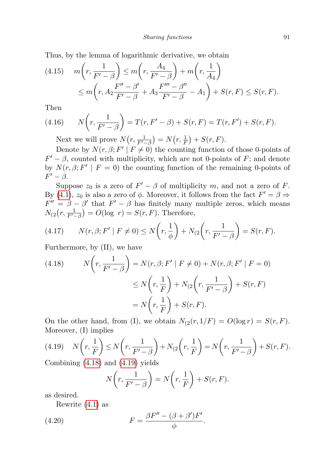Thus, by the lemma of logarithmic derivative, we obtain

(4.15) 
$$
m\left(r, \frac{1}{F'-\beta}\right) \le m\left(r, \frac{A_4}{F'-\beta}\right) + m\left(r, \frac{1}{A_4}\right) \\
\le m\left(r, A_2 \frac{F''-\beta'}{F'-\beta} + A_3 \frac{F'''-\beta''}{F'-\beta} - A_1\right) + S(r, F) \le S(r, F).
$$

Then

(4.16) 
$$
N(r, \frac{1}{F'-\beta}) = T(r, F'-\beta) + S(r, F) = T(r, F') + S(r, F).
$$

<span id="page-10-2"></span>Next we will prove  $N(r, \frac{1}{F'-\beta}) = N(r, \frac{1}{F}) + S(r, F)$ .

Denote by  $N(r, \beta; F' | F \neq 0)$  the counting function of those 0-points of  $F' - \beta$ , counted with multiplicity, which are not 0-points of F; and denote by  $N(r, \beta; F' | F = 0)$  the counting function of the remaining 0-points of  $F' - \beta$ .

Suppose  $z_0$  is a zero of  $F' - \beta$  of multiplicity m, and not a zero of F. By (4.[1\)](#page-7-0),  $z_0$  is also a zero of  $\phi$ . Moreover, it follows from the fact  $F' = \beta \Rightarrow$  $F'' = \beta - \beta'$  that  $F' - \beta$  has finitely many multiple zeros, which means  $N_{(2}(r, \frac{1}{F'-\beta}) = O(\log r) = S(r, F)$ . Therefore,

(4.17) 
$$
N(r, \beta; F' | F \neq 0) \le N\left(r, \frac{1}{\phi}\right) + N_{(2}\left(r, \frac{1}{F' - \beta}\right) = S(r, F).
$$

Furthermore, by (II), we have

<span id="page-10-0"></span>(4.18) 
$$
N\left(r, \frac{1}{F'-\beta}\right) = N(r, \beta; F' | F \neq 0) + N(r, \beta; F' | F = 0)
$$

$$
\leq N\left(r, \frac{1}{F}\right) + N_{\left(2\right)}\left(r, \frac{1}{F'-\beta}\right) + S(r, F)
$$

$$
= N\left(r, \frac{1}{F}\right) + S(r, F).
$$

On the other hand, from (I), we obtain  $N_{(2}(r, 1/F) = O(\log r) = S(r, F)$ . Moreover, (I) implies

<span id="page-10-1"></span>
$$
(4.19) \quad N\left(r, \frac{1}{F}\right) \le N\left(r, \frac{1}{F'-\beta}\right) + N_{(2}\left(r, \frac{1}{F}\right) = N\left(r, \frac{1}{F'-\beta}\right) + S(r, F).
$$
\nCombining (4.18) and (4.10) yields

Combining [\(4.18\)](#page-10-0) and [\(4.19\)](#page-10-1) yields

$$
N\left(r, \frac{1}{F'-\beta}\right) = N\left(r, \frac{1}{F}\right) + S(r, F).
$$

as desired.

Rewrite [\(4.1\)](#page-7-0) as

(4.20) 
$$
F = \frac{\beta F'' - (\beta + \beta')F'}{\phi}.
$$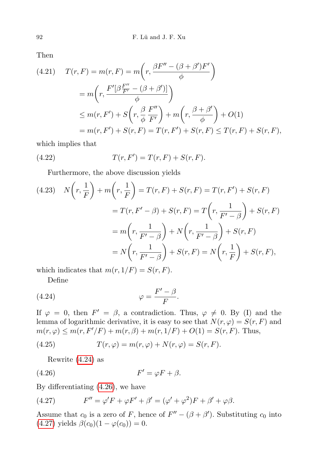Then

(4.21) 
$$
T(r, F) = m(r, F) = m\left(r, \frac{\beta F'' - (\beta + \beta')F'}{\phi}\right)
$$

$$
= m\left(r, \frac{F'[\beta \frac{F''}{F'} - (\beta + \beta')] }{\phi}\right)
$$

$$
\leq m(r, F') + S\left(r, \frac{\beta}{\phi} \frac{F''}{F'}\right) + m\left(r, \frac{\beta + \beta'}{\phi}\right) + O(1)
$$

$$
= m(r, F') + S(r, F) = T(r, F') + S(r, F) \leq T(r, F) + S(r, F),
$$

which implies that

(4.22) 
$$
T(r, F') = T(r, F) + S(r, F).
$$

Furthermore, the above discussion yields

(4.23) 
$$
N\left(r, \frac{1}{F}\right) + m\left(r, \frac{1}{F}\right) = T(r, F) + S(r, F) = T(r, F') + S(r, F)
$$

$$
= T(r, F' - \beta) + S(r, F) = T\left(r, \frac{1}{F' - \beta}\right) + S(r, F)
$$

$$
= m\left(r, \frac{1}{F' - \beta}\right) + N\left(r, \frac{1}{F' - \beta}\right) + S(r, F)
$$

$$
= N\left(r, \frac{1}{F' - \beta}\right) + S(r, F) = N\left(r, \frac{1}{F}\right) + S(r, F),
$$

which indicates that  $m(r, 1/F) = S(r, F)$ .

<span id="page-11-0"></span>Define

$$
\varphi = \frac{F' - \beta}{F}.
$$

If  $\varphi = 0$ , then  $F' = \beta$ , a contradiction. Thus,  $\varphi \neq 0$ . By (I) and the lemma of logarithmic derivative, it is easy to see that  $N(r, \varphi) = S(r, F)$  and  $m(r, \varphi) \leq m(r, F'/F) + m(r, \beta) + m(r, 1/F) + O(1) = S(r, F)$ . Thus,

(4.25) 
$$
T(r,\varphi) = m(r,\varphi) + N(r,\varphi) = S(r,F).
$$

<span id="page-11-1"></span>Rewrite [\(4.24\)](#page-11-0) as

$$
(4.26) \t\t\t F' = \varphi F + \beta.
$$

By differentiating [\(4.26\)](#page-11-1), we have

<span id="page-11-2"></span>(4.27) 
$$
F'' = \varphi' F + \varphi F' + \beta' = (\varphi' + \varphi^2)F + \beta' + \varphi \beta.
$$

Assume that  $c_0$  is a zero of F, hence of  $F'' - (\beta + \beta')$ . Substituting  $c_0$  into [\(4.27\)](#page-11-2) yields  $\beta(c_0)(1 - \varphi(c_0)) = 0$ .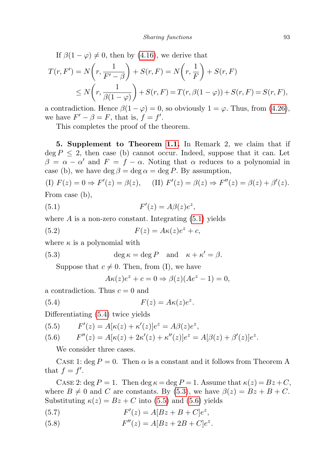If  $\beta(1-\varphi) \neq 0$ , then by [\(4.16\)](#page-10-2), we derive that

$$
T(r, F') = N\left(r, \frac{1}{F' - \beta}\right) + S(r, F) = N\left(r, \frac{1}{F}\right) + S(r, F)
$$
  
\n
$$
\leq N\left(r, \frac{1}{\beta(1 - \varphi)}\right) + S(r, F) = T(r, \beta(1 - \varphi)) + S(r, F) = S(r, F),
$$

a contradiction. Hence  $\beta(1-\varphi)=0$ , so obviously  $1=\varphi$ . Thus, from [\(4.26\)](#page-11-1), we have  $F' - \beta = F$ , that is,  $f = f'$ .

This completes the proof of the theorem.

5. Supplement to Theorem [1.1.](#page-1-0) In Remark 2, we claim that if  $\deg P \leq 2$ , then case (b) cannot occur. Indeed, suppose that it can. Let  $\beta = \alpha - \alpha'$  and  $F = f - \alpha$ . Noting that  $\alpha$  reduces to a polynomial in case (b), we have deg  $\beta = \deg \alpha = \deg P$ . By assumption,

(I)  $F(z) = 0 \Rightarrow F'(z) = \beta(z)$ , (II)  $F'(z) = \beta(z) \Rightarrow F''(z) = \beta(z) + \beta'(z)$ . From case (b),

(5.1) 
$$
F'(z) = A\beta(z)e^{z},
$$

where  $A$  is a non-zero constant. Integrating  $(5.1)$  yields

(5.2) 
$$
F(z) = A\kappa(z)e^{z} + c,
$$

where  $\kappa$  is a polynomial with

(5.3) 
$$
\deg \kappa = \deg P \quad \text{and} \quad \kappa + \kappa' = \beta.
$$

Suppose that  $c \neq 0$ . Then, from (I), we have

<span id="page-12-2"></span><span id="page-12-1"></span><span id="page-12-0"></span>
$$
A\kappa(z)e^{z} + c = 0 \Rightarrow \beta(z)(Ae^{z} - 1) = 0,
$$

a contradiction. Thus  $c = 0$  and

(5.4) 
$$
F(z) = A\kappa(z)e^{z}.
$$

Differentiating [\(5.4\)](#page-12-1) twice yields

(5.5) 
$$
F'(z) = A[\kappa(z) + \kappa'(z)]e^z = A\beta(z)e^z,
$$

(5.6) 
$$
F''(z) = A[\kappa(z) + 2\kappa'(z) + \kappa''(z)]e^{z} = A[\beta(z) + \beta'(z)]e^{z}.
$$

We consider three cases.

CASE 1: deg  $P = 0$ . Then  $\alpha$  is a constant and it follows from Theorem A that  $f = f'$ .

CASE 2: deg  $P = 1$ . Then deg  $\kappa = \deg P = 1$ . Assume that  $\kappa(z) = Bz + C$ , where  $B \neq 0$  and C are constants. By [\(5.3\)](#page-12-2), we have  $\beta(z) = Bz + B + C$ . Substituting  $\kappa(z) = Bz + C$  into [\(5.5\)](#page-12-1) and [\(5.6\)](#page-12-1) yields

- (5.7)  $F'(z) = A[Bz + B + C]e^{z},$
- (5.8)  $F''(z) = A[Bz + 2B + C]e^{z}$ .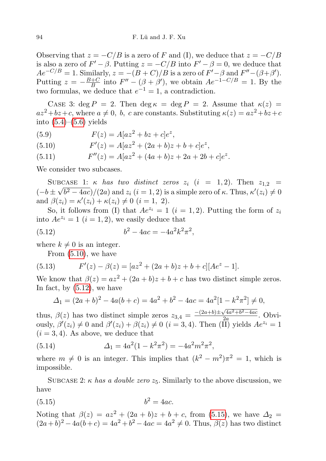Observing that  $z = -C/B$  is a zero of F and (I), we deduce that  $z = -C/B$ is also a zero of  $F' - \beta$ . Putting  $z = -C/B$  into  $F' - \beta = 0$ , we deduce that  $Ae^{-C/B} = 1$ . Similarly,  $z = -(B+C)/B$  is a zero of  $F' - \beta$  and  $F'' - (\beta + \beta')$ . Putting  $z = -\frac{B+C}{B}$  $\frac{+C}{B}$  into  $F'' - (\beta + \beta')$ , we obtain  $Ae^{-1-C/B} = 1$ . By the two formulas, we deduce that  $e^{-1} = 1$ , a contradiction.

CASE 3: deg  $P = 2$ . Then deg  $\kappa = \deg P = 2$ . Assume that  $\kappa(z) =$  $az^{2}+bz+c$ , where  $a \neq 0$ , b, c are constants. Substituting  $\kappa(z) = az^{2}+bz+c$ into  $(5.4)$ – $(5.6)$  yields

(5.9) 
$$
F(z) = A[az^2 + bz + c]e^z,
$$

(5.10) 
$$
F'(z) = A[az^2 + (2a+b)z + b + c]e^z,
$$

(5.11) 
$$
F''(z) = A[az^2 + (4a+b)z + 2a + 2b + c]e^z.
$$

We consider two subcases.

SUBCASE 1:  $\kappa$  has two distinct zeros  $z_i$   $(i = 1, 2)$ . Then  $z_{1,2}$  $(-b \pm \sqrt{b^2 - 4ac})/(2a)$  and  $z_i$   $(i = 1, 2)$  is a simple zero of  $\kappa$ . Thus,  $\kappa'(z_i) \neq 0$ and  $\beta(z_i) = \kappa'(z_i) + \kappa(z_i) \neq 0$   $(i = 1, 2)$ .

So, it follows from (I) that  $Ae^{z_i} = 1$   $(i = 1, 2)$ . Putting the form of  $z_i$ into  $Ae^{z_i} = 1$   $(i = 1, 2)$ , we easily deduce that

(5.12) 
$$
b^2 - 4ac = -4a^2k^2\pi^2,
$$

where  $k \neq 0$  is an integer.

<span id="page-13-0"></span>From [\(5.10\)](#page-12-1), we have

(5.13) 
$$
F'(z) - \beta(z) = [az^2 + (2a+b)z + b + c][Ae^z - 1].
$$

We know that  $\beta(z) = az^2 + (2a+b)z + b + c$  has two distinct simple zeros. In fact, by  $(5.12)$ , we have

$$
\Delta_1 = (2a+b)^2 - 4a(b+c) = 4a^2 + b^2 - 4ac = 4a^2[1 - k^2\pi^2] \neq 0,
$$

thus,  $\beta(z)$  has two distinct simple zeros  $z_{3,4} = \frac{-(2a+b)\pm\sqrt{4a^2+b^2-4ac}}{2a}$  $\frac{\sqrt{4a^2 + b^2 - 4ac}}{2a}$ . Obviously,  $\beta'(z_i) \neq 0$  and  $\beta'(z_i) + \beta(z_i) \neq 0$   $(i = 3, 4)$ . Then  $(\overline{II})$  yields  $Ae^{z_i} = 1$  $(i = 3, 4)$ . As above, we deduce that

(5.14) 
$$
\Delta_1 = 4a^2(1 - k^2 \pi^2) = -4a^2 m^2 \pi^2,
$$

where  $m \neq 0$  is an integer. This implies that  $(k^2 - m^2)\pi^2 = 1$ , which is impossible.

SUBCASE 2:  $\kappa$  has a double zero  $z_5$ . Similarly to the above discussion, we have

<span id="page-13-1"></span>
$$
(5.15) \t\t b2 = 4ac.
$$

Noting that  $\beta(z) = az^2 + (2a + b)z + b + c$ , from [\(5.15\)](#page-13-1), we have  $\Delta_2 =$  $(2a+b)^2 - 4a(b+c) = 4a^2 + b^2 - 4ac = 4a^2 \neq 0$ . Thus,  $\beta(z)$  has two distinct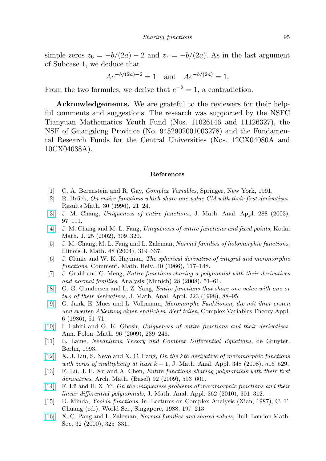simple zeros  $z_6 = -b/(2a) - 2$  and  $z_7 = -b/(2a)$ . As in the last argument of Subcase 1, we deduce that

$$
Ae^{-b/(2a)-2} = 1
$$
 and  $Ae^{-b/(2a)} = 1$ .

From the two formules, we derive that  $e^{-2} = 1$ , a contradiction.

Acknowledgements. We are grateful to the reviewers for their helpful comments and suggestions. The research was supported by the NSFC Tianyuan Mathematics Youth Fund (Nos. 11026146 and 11126327), the NSF of Guangdong Province (No. 9452902001003278) and the Fundamental Research Funds for the Central Universities (Nos. 12CX04080A and 10CX04038A).

## References

- [1] C. A. Berenstein and R. Gay, Complex Variables, Springer, New York, 1991.
- <span id="page-14-0"></span> $[2]$  R. Brück, On entire functions which share one value CM with their first derivatives, Results Math. 30 (1996), 21–24.
- <span id="page-14-4"></span>[\[3\]](http://dx.doi.org/10.1016/S0022-247X(03)00581-X) J. M. Chang, Uniqueness of entire functions, J. Math. Anal. Appl. 288 (2003), 97–111.
- <span id="page-14-3"></span>[\[4\]](http://dx.doi.org/10.2996/kmj/1071674464) J. M. Chang and M. L. Fang, Uniqueness of entire functions and fixed points, Kodai Math. J. 25 (2002), 309–320.
- <span id="page-14-11"></span>[5] J. M. Chang, M. L. Fang and L. Zalcman, Normal families of holomorphic functions, Illinois J. Math. 48 (2004), 319–337.
- [6] J. Clunie and W. K. Hayman, The spherical derivative of integral and meromorphic functions, Comment. Math. Helv. 40 (1966), 117–148.
- <span id="page-14-7"></span>[7] J. Grahl and C. Meng, Entire functions sharing a polynomial with their derivatives and normal families, Analysis (Munich) 28 (2008), 51–61.
- <span id="page-14-1"></span>[\[8\]](http://dx.doi.org/10.1006/jmaa.1998.5959) G. G. Gundersen and L. Z. Yang, Entire functions that share one value with one or two of their derivatives, J. Math. Anal. Appl. 223 (1998), 88–95.
- <span id="page-14-2"></span>[\[9\]](http://dx.doi.org/10.1080/17476938608814158) G. Jank, E. Mues und L. Volkmann, Meromorphe Funktionen, die mit ihrer ersten und zweiten Ableitung einen endlichen Wert teilen, Complex Variables Theory Appl. 6 (1986), 51–71.
- <span id="page-14-5"></span>[\[10\]](http://dx.doi.org/10.4064/ap96-3-4) I. Lahiri and G. K. Ghosh, Uniqueness of entire functions and their derivatives, Ann. Polon. Math. 96 (2009), 239–246.
- <span id="page-14-12"></span>[11] L. Laine, Nevanlinna Theory and Complex Differential Equations, de Gruyter, Berlin, 1993.
- <span id="page-14-8"></span>[\[12\]](http://dx.doi.org/10.1016/j.jmaa.2008.07.019) X. J. Liu, S. Nevo and X. C. Pang, On the kth derivative of meromorphic functions with zeros of multiplicity at least  $k + 1$ , J. Math. Anal. Appl. 348 (2008), 516–529.
- <span id="page-14-10"></span>[13] F. Lü, J. F. Xu and A. Chen, *Entire functions sharing polynomials with their first* derivatives, Arch. Math. (Basel) 92 (2009), 593–601.
- <span id="page-14-6"></span>[\[14\]](http://dx.doi.org/10.1016/j.jmaa.2009.09.027) F. Lü and H. X. Yi, On the uniqueness problems of meromorphic functions and their linear differential polynomials, J. Math. Anal. Appl. 362 (2010), 301–312.
- [15] D. Minda, Yosida functions, in: Lectures on Complex Analysis (Xian, 1987), C. T. Chuang (ed.), World Sci., Singapore, 1988, 197–213.
- <span id="page-14-9"></span>[\[16\]](http://dx.doi.org/10.1112/S002460939900644X) X. C. Pang and L. Zalcman, Normal families and shared values, Bull. London Math. Soc. 32 (2000), 325–331.